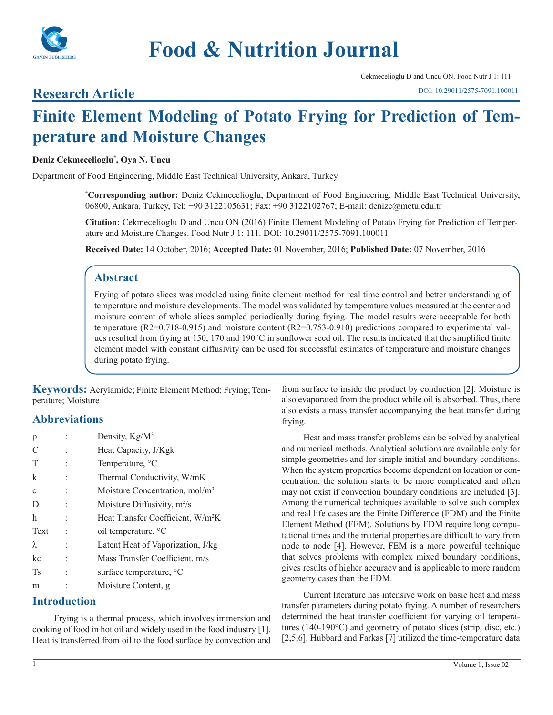

# **Food & Nutrition Journal**

Cekmecelioglu D and Uncu ON. Food Nutr J 1: 111.

# **Research Article**

# **Finite Element Modeling of Potato Frying for Prediction of Temperature and Moisture Changes**

#### **Deniz Cekmecelioglu\* , Oya N. Uncu**

Department of Food Engineering, Middle East Technical University, Ankara, Turkey

**\* Corresponding author:** Deniz Cekmecelioglu, Department of Food Engineering, Middle East Technical University, 06800, Ankara, Turkey, Tel: +90 3122105631; Fax: +90 3122102767; E-mail: denizc@metu.edu.tr

**Citation:** Cekmecelioglu D and Uncu ON (2016) Finite Element Modeling of Potato Frying for Prediction of Temperature and Moisture Changes. Food Nutr J 1: 111. DOI: 10.29011/2575-7091.100011

**Received Date:** 14 October, 2016; **Accepted Date:** 01 November, 2016; **Published Date:** 07 November, 2016

# **Abstract**

Frying of potato slices was modeled using finite element method for real time control and better understanding of temperature and moisture developments. The model was validated by temperature values measured at the center and moisture content of whole slices sampled periodically during frying. The model results were acceptable for both temperature (R2=0.718-0.915) and moisture content (R2=0.753-0.910) predictions compared to experimental values resulted from frying at 150, 170 and 190°C in sunflower seed oil. The results indicated that the simplified finite element model with constant diffusivity can be used for successful estimates of temperature and moisture changes during potato frying.

**Keywords:** Acrylamide; Finite Element Method; Frying; Temperature; Moisture

# **Abbreviations**

| $\rho$       | Density, Kg/M <sup>3</sup>                    |  |  |
|--------------|-----------------------------------------------|--|--|
| C            | Heat Capacity, J/Kgk                          |  |  |
| T            | Temperature, °C                               |  |  |
| $\mathbf k$  | Thermal Conductivity, W/mK                    |  |  |
| $\mathsf{C}$ | Moisture Concentration, mol/m <sup>3</sup>    |  |  |
| D            | Moisture Diffusivity, $m^2/s$                 |  |  |
| h            | Heat Transfer Coefficient, W/m <sup>2</sup> K |  |  |
| Text         | oil temperature, °C                           |  |  |
| $\lambda$    | Latent Heat of Vaporization, J/kg             |  |  |
| kc           | Mass Transfer Coefficient, m/s                |  |  |
| <b>Ts</b>    | surface temperature, <sup>o</sup> C           |  |  |
| m            | Moisture Content, g                           |  |  |
|              |                                               |  |  |

## **Introduction**

Frying is a thermal process, which involves immersion and cooking of food in hot oil and widely used in the food industry [1]. Heat is transferred from oil to the food surface by convection and from surface to inside the product by conduction [2]. Moisture is also evaporated from the product while oil is absorbed. Thus, there also exists a mass transfer accompanying the heat transfer during frying.

Heat and mass transfer problems can be solved by analytical and numerical methods. Analytical solutions are available only for simple geometries and for simple initial and boundary conditions. When the system properties become dependent on location or concentration, the solution starts to be more complicated and often may not exist if convection boundary conditions are included [3]. Among the numerical techniques available to solve such complex and real life cases are the Finite Difference (FDM) and the Finite Element Method (FEM). Solutions by FDM require long computational times and the material properties are difficult to vary from node to node [4]. However, FEM is a more powerful technique that solves problems with complex mixed boundary conditions, gives results of higher accuracy and is applicable to more random geometry cases than the FDM.

Current literature has intensive work on basic heat and mass transfer parameters during potato frying. A number of researchers determined the heat transfer coefficient for varying oil temperatures (140-190°C) and geometry of potato slices (strip, disc, etc.) [2,5,6]. Hubbard and Farkas [7] utilized the time-temperature data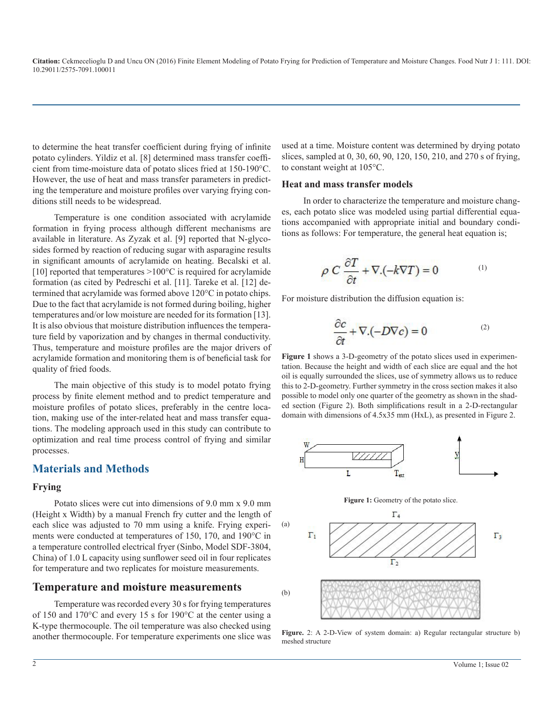to determine the heat transfer coefficient during frying of infinite potato cylinders. Yildiz et al. [8] determined mass transfer coefficient from time-moisture data of potato slices fried at 150-190°C. However, the use of heat and mass transfer parameters in predicting the temperature and moisture profiles over varying frying conditions still needs to be widespread.

Temperature is one condition associated with acrylamide formation in frying process although different mechanisms are available in literature. As Zyzak et al. [9] reported that N-glycosides formed by reaction of reducing sugar with asparagine results in significant amounts of acrylamide on heating. Becalski et al. [10] reported that temperatures  $>100^{\circ}$ C is required for acrylamide formation (as cited by Pedreschi et al. [11]. Tareke et al. [12] determined that acrylamide was formed above 120°C in potato chips. Due to the fact that acrylamide is not formed during boiling, higher temperatures and/or low moisture are needed for its formation [13]. It is also obvious that moisture distribution influences the temperature field by vaporization and by changes in thermal conductivity. Thus, temperature and moisture profiles are the major drivers of acrylamide formation and monitoring them is of beneficial task for quality of fried foods.

The main objective of this study is to model potato frying process by finite element method and to predict temperature and moisture profiles of potato slices, preferably in the centre location, making use of the inter-related heat and mass transfer equations. The modeling approach used in this study can contribute to optimization and real time process control of frying and similar processes.

#### **Materials and Methods**

#### **Frying**

Potato slices were cut into dimensions of 9.0 mm x 9.0 mm (Height x Width) by a manual French fry cutter and the length of each slice was adjusted to 70 mm using a knife. Frying experiments were conducted at temperatures of 150, 170, and 190°C in a temperature controlled electrical fryer (Sinbo, Model SDF-3804, China) of 1.0 L capacity using sunflower seed oil in four replicates for temperature and two replicates for moisture measurements.

#### **Temperature and moisture measurements**

Temperature was recorded every 30 s for frying temperatures of 150 and 170°C and every 15 s for 190°C at the center using a K-type thermocouple. The oil temperature was also checked using another thermocouple. For temperature experiments one slice was used at a time. Moisture content was determined by drying potato slices, sampled at 0, 30, 60, 90, 120, 150, 210, and 270 s of frying, to constant weight at 105°C.

#### **Heat and mass transfer models**

In order to characterize the temperature and moisture changes, each potato slice was modeled using partial differential equations accompanied with appropriate initial and boundary conditions as follows: For temperature, the general heat equation is;

$$
\rho C \frac{\partial T}{\partial t} + \nabla \cdot (-k \nabla T) = 0 \tag{1}
$$

For moisture distribution the diffusion equation is:

$$
\frac{\partial c}{\partial t} + \nabla \cdot (-D \nabla c) = 0 \tag{2}
$$

**Figure 1** shows a 3-D-geometry of the potato slices used in experimentation. Because the height and width of each slice are equal and the hot oil is equally surrounded the slices, use of symmetry allows us to reduce this to 2-D-geometry. Further symmetry in the cross section makes it also possible to model only one quarter of the geometry as shown in the shaded section (Figure 2). Both simplifications result in a 2-D-rectangular domain with dimensions of 4.5x35 mm (HxL), as presented in Figure 2.







Figure. 2: A 2-D-View of system domain: a) Regular rectangular structure b) meshed structure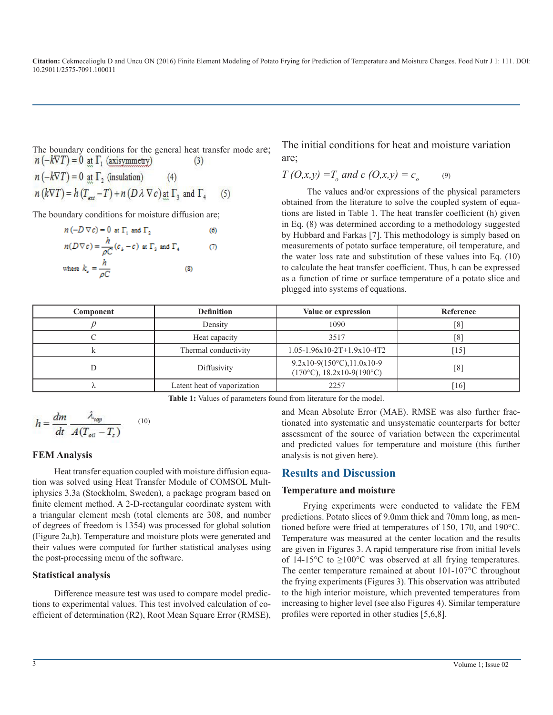The boundary conditions for the general heat transfer mode are;<br> $n(-k\nabla T) = 0$  at  $\Gamma_1$  (axisymmetry) (3)  $(3)$ 

 $n(-k\nabla T) = 0$  at  $\Gamma_2$  (insulation)  $(4)$  $n(k\nabla T) = h(T_{\text{ext}} - T) + n(D\lambda \nabla c)$  at  $\Gamma_3$  and  $\Gamma_4$  $(5)$ 

The boundary conditions for moisture diffusion are;

$$
n(-D \nabla c) = 0 \text{ at } \Gamma_1 \text{ and } \Gamma_2 \tag{6}
$$
  
\n
$$
n(D \nabla c) = \frac{h}{\rho C} (c_b - c) \text{ at } \Gamma_3 \text{ and } \Gamma_4 \tag{7}
$$
  
\nwhere  $k_c = \frac{h}{\rho C}$  \tag{8}

The initial conditions for heat and moisture variation are;

$$
T(0,x,y) = T_o
$$
 and  $c(0,x,y) = c_o$  (9)

The values and/or expressions of the physical parameters obtained from the literature to solve the coupled system of equations are listed in Table 1. The heat transfer coefficient (h) given in Eq. (8) was determined according to a methodology suggested by Hubbard and Farkas [7]. This methodology is simply based on measurements of potato surface temperature, oil temperature, and the water loss rate and substitution of these values into Eq. (10) to calculate the heat transfer coefficient. Thus, h can be expressed as a function of time or surface temperature of a potato slice and plugged into systems of equations.

| Component | <b>Definition</b>           | Value or expression                                                 | Reference |
|-----------|-----------------------------|---------------------------------------------------------------------|-----------|
|           | Density                     | 1090                                                                | [8]       |
|           | Heat capacity               | 3517                                                                | [8]       |
|           | Thermal conductivity        | $1.05 - 1.96x10 - 2T + 1.9x10 - 4T2$                                | 15        |
|           | Diffusivity                 | $9.2x10-9(150°C), 11.0x10-9$<br>$(170^{\circ}C)$ , 18.2x10-9(190°C) | [8]       |
|           | Latent heat of vaporization | 2257                                                                | 16        |

**Table 1:** Values of parameters found from literature for the model.

$$
h = \frac{dm}{dt} \frac{\lambda_{vap}}{A(T_{oil} - T_s)} \qquad (10)
$$

#### **FEM Analysis**

Heat transfer equation coupled with moisture diffusion equation was solved using Heat Transfer Module of COMSOL Multiphysics 3.3a (Stockholm, Sweden), a package program based on finite element method. A 2-D-rectangular coordinate system with a triangular element mesh (total elements are 308, and number of degrees of freedom is 1354) was processed for global solution (Figure 2a,b). Temperature and moisture plots were generated and their values were computed for further statistical analyses using the post-processing menu of the software.

#### **Statistical analysis**

Difference measure test was used to compare model predictions to experimental values. This test involved calculation of coefficient of determination (R2), Root Mean Square Error (RMSE), and Mean Absolute Error (MAE). RMSE was also further fractionated into systematic and unsystematic counterparts for better assessment of the source of variation between the experimental and predicted values for temperature and moisture (this further analysis is not given here).

## **Results and Discussion**

#### **Temperature and moisture**

Frying experiments were conducted to validate the FEM predictions. Potato slices of 9.0mm thick and 70mm long, as mentioned before were fried at temperatures of 150, 170, and 190°C. Temperature was measured at the center location and the results are given in Figures 3. A rapid temperature rise from initial levels of 14-15 $\rm ^{\circ}C$  to  $\rm \geq 100\rm ^{\circ}C$  was observed at all frying temperatures. The center temperature remained at about 101-107°C throughout the frying experiments (Figures 3). This observation was attributed to the high interior moisture, which prevented temperatures from increasing to higher level (see also Figures 4). Similar temperature profiles were reported in other studies [5,6,8].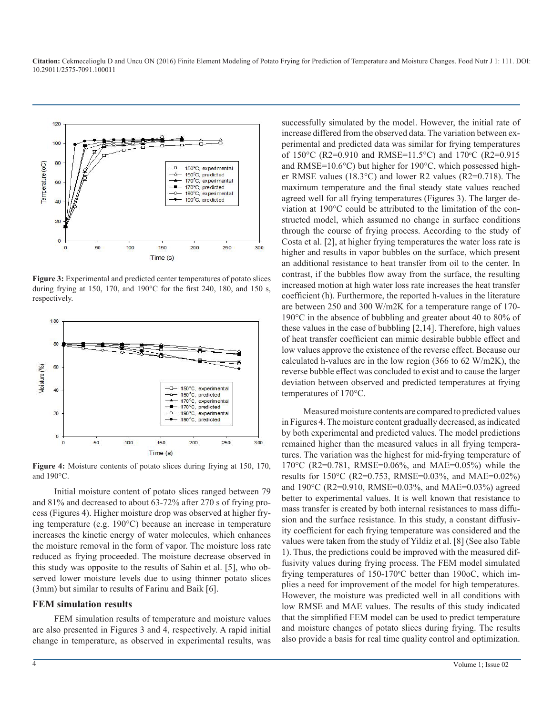

**Figure 3:** Experimental and predicted center temperatures of potato slices during frying at 150, 170, and 190°C for the first 240, 180, and 150 s, respectively.



**Figure 4:** Moisture contents of potato slices during frying at 150, 170, and 190°C.

Initial moisture content of potato slices ranged between 79 and 81% and decreased to about 63-72% after 270 s of frying process (Figures 4). Higher moisture drop was observed at higher frying temperature (e.g. 190°C) because an increase in temperature increases the kinetic energy of water molecules, which enhances the moisture removal in the form of vapor. The moisture loss rate reduced as frying proceeded. The moisture decrease observed in this study was opposite to the results of Sahin et al. [5], who observed lower moisture levels due to using thinner potato slices (3mm) but similar to results of Farinu and Baik [6].

#### **FEM simulation results**

FEM simulation results of temperature and moisture values are also presented in Figures 3 and 4, respectively. A rapid initial change in temperature, as observed in experimental results, was successfully simulated by the model. However, the initial rate of increase differed from the observed data. The variation between experimental and predicted data was similar for frying temperatures of 150°C (R2=0.910 and RMSE=11.5°C) and 170°C (R2=0.915 and RMSE=10.6°C) but higher for 190°C, which possessed higher RMSE values (18.3°C) and lower R2 values (R2=0.718). The maximum temperature and the final steady state values reached agreed well for all frying temperatures (Figures 3). The larger deviation at 190°C could be attributed to the limitation of the constructed model, which assumed no change in surface conditions through the course of frying process. According to the study of Costa et al. [2], at higher frying temperatures the water loss rate is higher and results in vapor bubbles on the surface, which present an additional resistance to heat transfer from oil to the center. In contrast, if the bubbles flow away from the surface, the resulting increased motion at high water loss rate increases the heat transfer coefficient (h). Furthermore, the reported h-values in the literature are between 250 and 300 W/m2K for a temperature range of 170- 190°C in the absence of bubbling and greater about 40 to 80% of these values in the case of bubbling [2,14]. Therefore, high values of heat transfer coefficient can mimic desirable bubble effect and low values approve the existence of the reverse effect. Because our calculated h-values are in the low region (366 to 62 W/m2K), the reverse bubble effect was concluded to exist and to cause the larger deviation between observed and predicted temperatures at frying temperatures of 170°C.

Measured moisture contents are compared to predicted values in Figures 4. The moisture content gradually decreased, as indicated by both experimental and predicted values. The model predictions remained higher than the measured values in all frying temperatures. The variation was the highest for mid-frying temperature of 170°C (R2=0.781, RMSE=0.06%, and MAE=0.05%) while the results for 150°C (R2=0.753, RMSE=0.03%, and MAE=0.02%) and 190°C (R2=0.910, RMSE=0.03%, and MAE=0.03%) agreed better to experimental values. It is well known that resistance to mass transfer is created by both internal resistances to mass diffusion and the surface resistance. In this study, a constant diffusivity coefficient for each frying temperature was considered and the values were taken from the study of Yildiz et al. [8] (See also Table 1). Thus, the predictions could be improved with the measured diffusivity values during frying process. The FEM model simulated frying temperatures of 150-170°C better than 190oC, which implies a need for improvement of the model for high temperatures. However, the moisture was predicted well in all conditions with low RMSE and MAE values. The results of this study indicated that the simplified FEM model can be used to predict temperature and moisture changes of potato slices during frying. The results also provide a basis for real time quality control and optimization.